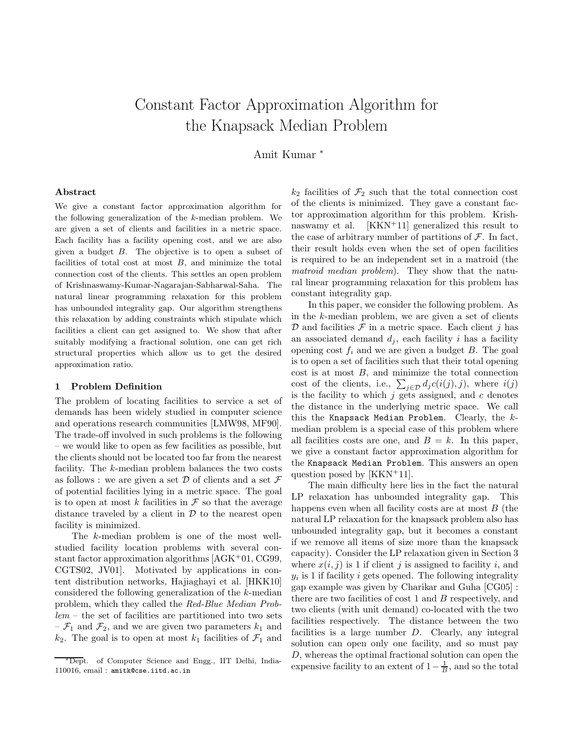# Constant Factor Approximation Algorithm for the Knapsack Median Problem

Amit Kumar <sup>∗</sup>

## Abstract

We give a constant factor approximation algorithm for the following generalization of the k-median problem. We are given a set of clients and facilities in a metric space. Each facility has a facility opening cost, and we are also given a budget B. The objective is to open a subset of facilities of total cost at most  $B$ , and minimize the total connection cost of the clients. This settles an open problem of Krishnaswamy-Kumar-Nagarajan-Sabharwal-Saha. The natural linear programming relaxation for this problem has unbounded integrality gap. Our algorithm strengthens this relaxation by adding constraints which stipulate which facilities a client can get assigned to. We show that after suitably modifying a fractional solution, one can get rich structural properties which allow us to get the desired approximation ratio.

## 1 Problem Definition

The problem of locating facilities to service a set of demands has been widely studied in computer science and operations research communities [LMW98, MF90]. The trade-off involved in such problems is the following – we would like to open as few facilities as possible, but the clients should not be located too far from the nearest facility. The k-median problem balances the two costs as follows : we are given a set  $\mathcal D$  of clients and a set  $\mathcal F$ of potential facilities lying in a metric space. The goal is to open at most  $k$  facilities in  $\mathcal F$  so that the average distance traveled by a client in  $\mathcal D$  to the nearest open facility is minimized.

The k-median problem is one of the most wellstudied facility location problems with several constant factor approximation algorithms  $AGK<sup>+</sup>01$ , CG99, CGTS02, JV01]. Motivated by applications in content distribution networks, Hajiaghayi et al. [HKK10] considered the following generalization of the k-median problem, which they called the Red-Blue Median Prob $lem - the set of facilities are partitioned into two sets$  $-\mathcal{F}_1$  and  $\mathcal{F}_2$ , and we are given two parameters  $k_1$  and  $k_2$ . The goal is to open at most  $k_1$  facilities of  $\mathcal{F}_1$  and

 $k_2$  facilities of  $\mathcal{F}_2$  such that the total connection cost of the clients is minimized. They gave a constant factor approximation algorithm for this problem. Krishnaswamy et al. [KKN<sup>+</sup>11] generalized this result to the case of arbitrary number of partitions of  $\mathcal{F}$ . In fact, their result holds even when the set of open facilities is required to be an independent set in a matroid (the matroid median problem). They show that the natural linear programming relaxation for this problem has constant integrality gap.

In this paper, we consider the following problem. As in the k-median problem, we are given a set of clients  $D$  and facilities  $\mathcal F$  in a metric space. Each client j has an associated demand  $d_i$ , each facility i has a facility opening cost  $f_i$  and we are given a budget B. The goal is to open a set of facilities such that their total opening  $\cos t$  is at most  $B$ , and minimize the total connection cost of the clients, i.e.,  $\sum_{j\in\mathcal{D}}d_j c(i(j), j)$ , where  $i(j)$ is the facility to which  $j$  gets assigned, and  $c$  denotes the distance in the underlying metric space. We call this the Knapsack Median Problem. Clearly, the  $k$ median problem is a special case of this problem where all facilities costs are one, and  $B = k$ . In this paper, we give a constant factor approximation algorithm for the Knapsack Median Problem. This answers an open question posed by [KKN<sup>+</sup>11].

The main difficulty here lies in the fact the natural LP relaxation has unbounded integrality gap. This happens even when all facility costs are at most  $B$  (the natural LP relaxation for the knapsack problem also has unbounded integrality gap, but it becomes a constant if we remove all items of size more than the knapsack capacity). Consider the LP relaxation given in Section 3 where  $x(i, j)$  is 1 if client j is assigned to facility i, and  $y_i$  is 1 if facility i gets opened. The following integrality gap example was given by Charikar and Guha [CG05] : there are two facilities of cost  $1$  and  $B$  respectively, and two clients (with unit demand) co-located with the two facilities respectively. The distance between the two facilities is a large number D. Clearly, any integral solution can open only one facility, and so must pay D, whereas the optimal fractional solution can open the expensive facility to an extent of  $1-\frac{1}{B}$ , and so the total

<sup>∗</sup>Dept. of Computer Science and Engg., IIT Delhi, India-110016, email : amitk@cse.iitd.ac.in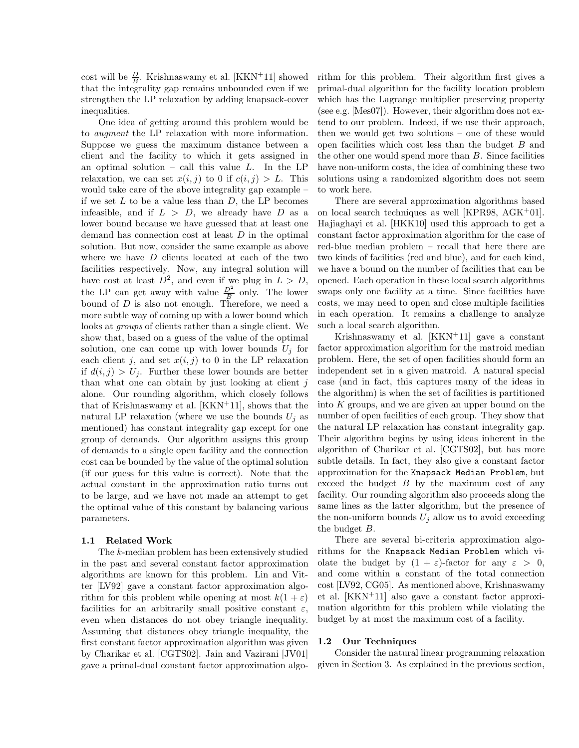cost will be  $\frac{D}{B}$ . Krishnaswamy et al. [KKN<sup>+</sup>11] showed that the integrality gap remains unbounded even if we strengthen the LP relaxation by adding knapsack-cover inequalities.

One idea of getting around this problem would be to augment the LP relaxation with more information. Suppose we guess the maximum distance between a client and the facility to which it gets assigned in an optimal solution – call this value  $L$ . In the LP relaxation, we can set  $x(i, j)$  to 0 if  $c(i, j) > L$ . This would take care of the above integrality gap example – if we set  $L$  to be a value less than  $D$ , the LP becomes infeasible, and if  $L > D$ , we already have D as a lower bound because we have guessed that at least one demand has connection cost at least  $D$  in the optimal solution. But now, consider the same example as above where we have D clients located at each of the two facilities respectively. Now, any integral solution will have cost at least  $D^2$ , and even if we plug in  $L > D$ , the LP can get away with value  $\frac{D^2}{B}$  only. The lower bound of D is also not enough. Therefore, we need a more subtle way of coming up with a lower bound which looks at groups of clients rather than a single client. We show that, based on a guess of the value of the optimal solution, one can come up with lower bounds  $U_i$  for each client j, and set  $x(i, j)$  to 0 in the LP relaxation if  $d(i, j) > U_j$ . Further these lower bounds are better than what one can obtain by just looking at client  $j$ alone. Our rounding algorithm, which closely follows that of Krishnaswamy et al.  $[KKN^+11]$ , shows that the natural LP relaxation (where we use the bounds  $U_j$  as mentioned) has constant integrality gap except for one group of demands. Our algorithm assigns this group of demands to a single open facility and the connection cost can be bounded by the value of the optimal solution (if our guess for this value is correct). Note that the actual constant in the approximation ratio turns out to be large, and we have not made an attempt to get the optimal value of this constant by balancing various parameters.

## 1.1 Related Work

The k-median problem has been extensively studied in the past and several constant factor approximation algorithms are known for this problem. Lin and Vitter [LV92] gave a constant factor approximation algorithm for this problem while opening at most  $k(1 + \varepsilon)$ facilities for an arbitrarily small positive constant  $\varepsilon$ , even when distances do not obey triangle inequality. Assuming that distances obey triangle inequality, the first constant factor approximation algorithm was given by Charikar et al. [CGTS02]. Jain and Vazirani [JV01] gave a primal-dual constant factor approximation algorithm for this problem. Their algorithm first gives a primal-dual algorithm for the facility location problem which has the Lagrange multiplier preserving property (see e.g. [Mes07]). However, their algorithm does not extend to our problem. Indeed, if we use their approach, then we would get two solutions – one of these would open facilities which cost less than the budget  $B$  and the other one would spend more than  $B$ . Since facilities have non-uniform costs, the idea of combining these two solutions using a randomized algorithm does not seem to work here.

There are several approximation algorithms based on local search techniques as well [KPR98, AGK<sup>+</sup>01]. Hajiaghayi et al. [HKK10] used this approach to get a constant factor approximation algorithm for the case of red-blue median problem – recall that here there are two kinds of facilities (red and blue), and for each kind, we have a bound on the number of facilities that can be opened. Each operation in these local search algorithms swaps only one facility at a time. Since facilities have costs, we may need to open and close multiple facilities in each operation. It remains a challenge to analyze such a local search algorithm.

Krishnaswamy et al. [KKN<sup>+</sup>11] gave a constant factor approximation algorithm for the matroid median problem. Here, the set of open facilities should form an independent set in a given matroid. A natural special case (and in fact, this captures many of the ideas in the algorithm) is when the set of facilities is partitioned into  $K$  groups, and we are given an upper bound on the number of open facilities of each group. They show that the natural LP relaxation has constant integrality gap. Their algorithm begins by using ideas inherent in the algorithm of Charikar et al. [CGTS02], but has more subtle details. In fact, they also give a constant factor approximation for the Knapsack Median Problem, but exceed the budget  $B$  by the maximum cost of any facility. Our rounding algorithm also proceeds along the same lines as the latter algorithm, but the presence of the non-uniform bounds  $U_j$  allow us to avoid exceeding the budget B.

There are several bi-criteria approximation algorithms for the Knapsack Median Problem which violate the budget by  $(1 + \varepsilon)$ -factor for any  $\varepsilon > 0$ , and come within a constant of the total connection cost [LV92, CG05]. As mentioned above, Krishnaswamy et al. [KKN<sup>+</sup>11] also gave a constant factor approximation algorithm for this problem while violating the budget by at most the maximum cost of a facility.

## 1.2 Our Techniques

Consider the natural linear programming relaxation given in Section 3. As explained in the previous section,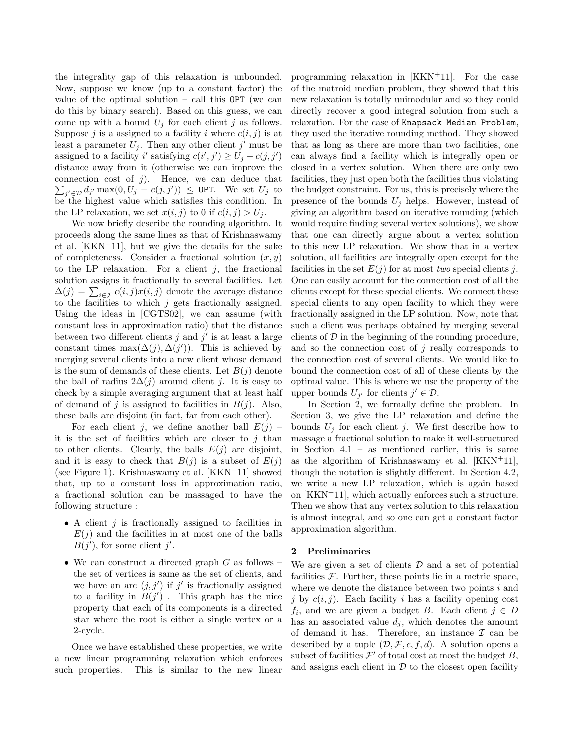the integrality gap of this relaxation is unbounded. Now, suppose we know (up to a constant factor) the value of the optimal solution – call this  $OPT$  (we can do this by binary search). Based on this guess, we can come up with a bound  $U_j$  for each client j as follows. Suppose j is a assigned to a facility i where  $c(i, j)$  is at least a parameter  $U_j$ . Then any other client j' must be assigned to a facility i' satisfying  $c(i',j') \ge U_j - c(j,j')$ distance away from it (otherwise we can improve the  $\sum_{j' \in \mathcal{D}} d_{j'} \max(0, U_j - c(j, j')) \leq \text{OPT}$ . We set  $U_j$  to connection cost of  $j$ ). Hence, we can deduce that be the highest value which satisfies this condition. In the LP relaxation, we set  $x(i, j)$  to 0 if  $c(i, j) > U_j$ .

We now briefly describe the rounding algorithm. It proceeds along the same lines as that of Krishnaswamy et al. [KKN<sup>+</sup>11], but we give the details for the sake of completeness. Consider a fractional solution  $(x, y)$ to the LP relaxation. For a client  $i$ , the fractional solution assigns it fractionally to several facilities. Let  $\Delta(j) = \sum_{i \in \mathcal{F}} c(i, j)x(i, j)$  denote the average distance to the facilities to which  $j$  gets fractionally assigned. Using the ideas in [CGTS02], we can assume (with constant loss in approximation ratio) that the distance between two different clients  $j$  and  $j'$  is at least a large constant times max $(\Delta(j), \Delta(j'))$ . This is achieved by merging several clients into a new client whose demand is the sum of demands of these clients. Let  $B(j)$  denote the ball of radius  $2\Delta(j)$  around client j. It is easy to check by a simple averaging argument that at least half of demand of j is assigned to facilities in  $B(j)$ . Also, these balls are disjoint (in fact, far from each other).

For each client j, we define another ball  $E(j)$ it is the set of facilities which are closer to  $i$  than to other clients. Clearly, the balls  $E(j)$  are disjoint, and it is easy to check that  $B(j)$  is a subset of  $E(j)$ (see Figure 1). Krishnaswamy et al. [KKN<sup>+</sup>11] showed that, up to a constant loss in approximation ratio, a fractional solution can be massaged to have the following structure :

- A client  $j$  is fractionally assigned to facilities in  $E(j)$  and the facilities in at most one of the balls  $B(j')$ , for some client j'.
- We can construct a directed graph  $G$  as follows the set of vertices is same as the set of clients, and we have an arc  $(j, j')$  if  $j'$  is fractionally assigned to a facility in  $B(j')$ . This graph has the nice property that each of its components is a directed star where the root is either a single vertex or a 2-cycle.

Once we have established these properties, we write a new linear programming relaxation which enforces such properties. This is similar to the new linear

programming relaxation in [KKN<sup>+</sup>11]. For the case of the matroid median problem, they showed that this new relaxation is totally unimodular and so they could directly recover a good integral solution from such a relaxation. For the case of Knapsack Median Problem, they used the iterative rounding method. They showed that as long as there are more than two facilities, one can always find a facility which is integrally open or closed in a vertex solution. When there are only two facilities, they just open both the facilities thus violating the budget constraint. For us, this is precisely where the presence of the bounds  $U_j$  helps. However, instead of giving an algorithm based on iterative rounding (which would require finding several vertex solutions), we show that one can directly argue about a vertex solution to this new LP relaxation. We show that in a vertex solution, all facilities are integrally open except for the facilities in the set  $E(j)$  for at most two special clients j. One can easily account for the connection cost of all the clients except for these special clients. We connect these special clients to any open facility to which they were fractionally assigned in the LP solution. Now, note that such a client was perhaps obtained by merging several clients of  $\mathcal D$  in the beginning of the rounding procedure, and so the connection cost of  $j$  really corresponds to the connection cost of several clients. We would like to bound the connection cost of all of these clients by the optimal value. This is where we use the property of the upper bounds  $U_{j'}$  for clients  $j' \in \mathcal{D}$ .

In Section 2, we formally define the problem. In Section 3, we give the LP relaxation and define the bounds  $U_j$  for each client j. We first describe how to massage a fractional solution to make it well-structured in Section 4.1 – as mentioned earlier, this is same as the algorithm of Krishnaswamy et al.  $[KKN^+11]$ , though the notation is slightly different. In Section 4.2, we write a new LP relaxation, which is again based on [KKN<sup>+</sup>11], which actually enforces such a structure. Then we show that any vertex solution to this relaxation is almost integral, and so one can get a constant factor approximation algorithm.

## 2 Preliminaries

We are given a set of clients  $\mathcal D$  and a set of potential facilities  $F$ . Further, these points lie in a metric space, where we denote the distance between two points  $i$  and j by  $c(i, j)$ . Each facility i has a facility opening cost  $f_i$ , and we are given a budget B. Each client  $j \in D$ has an associated value  $d_j$ , which denotes the amount of demand it has. Therefore, an instance  $\mathcal I$  can be described by a tuple  $(D, \mathcal{F}, c, f, d)$ . A solution opens a subset of facilities  $\mathcal{F}'$  of total cost at most the budget B, and assigns each client in  $D$  to the closest open facility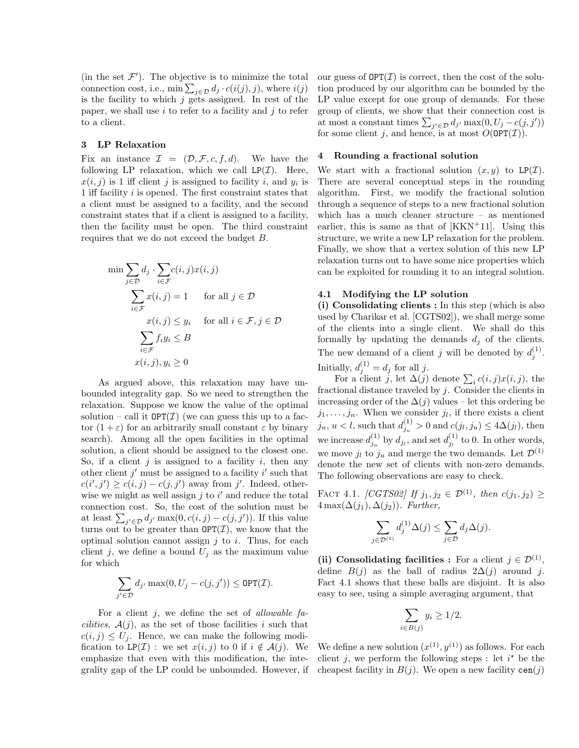(in the set  $\mathcal{F}'$ ). The objective is to minimize the total connection cost, i.e.,  $\min \sum_{j \in \mathcal{D}} d_j \cdot c(i(j), j)$ , where  $i(j)$ is the facility to which  $j$  gets assigned. In rest of the paper, we shall use  $i$  to refer to a facility and  $j$  to refer to a client.

### 3 LP Relaxation

Fix an instance  $\mathcal{I} = (\mathcal{D}, \mathcal{F}, c, f, d)$ . We have the following LP relaxation, which we call  $LP(\mathcal{I})$ . Here,  $x(i, j)$  is 1 iff client j is assigned to facility i, and  $y_i$  is 1 iff facility  $i$  is opened. The first constraint states that a client must be assigned to a facility, and the second constraint states that if a client is assigned to a facility, then the facility must be open. The third constraint requires that we do not exceed the budget B.

$$
\min \sum_{j \in \mathcal{D}} d_j \cdot \sum_{i \in \mathcal{F}} c(i, j) x(i, j)
$$
\n
$$
\sum_{i \in \mathcal{F}} x(i, j) = 1 \quad \text{for all } j \in \mathcal{D}
$$
\n
$$
x(i, j) \le y_i \quad \text{for all } i \in \mathcal{F}, j \in \mathcal{D}
$$
\n
$$
\sum_{i \in \mathcal{F}} f_i y_i \le B
$$
\n
$$
x(i, j), y_i \ge 0
$$

As argued above, this relaxation may have unbounded integrality gap. So we need to strengthen the relaxation. Suppose we know the value of the optimal solution – call it  $OPT(\mathcal{I})$  (we can guess this up to a factor  $(1 + \varepsilon)$  for an arbitrarily small constant  $\varepsilon$  by binary search). Among all the open facilities in the optimal solution, a client should be assigned to the closest one. So, if a client  $j$  is assigned to a facility  $i$ , then any other client  $j'$  must be assigned to a facility  $i'$  such that  $c(i',j') \geq c(i,j) - c(j,j')$  away from j'. Indeed, otherwise we might as well assign  $j$  to  $i'$  and reduce the total connection cost. So, the cost of the solution must be at least  $\sum_{j' \in \mathcal{D}} d_{j'} \max(0, c(i, j) - c(j, j'))$ . If this value turns out to be greater than  $\text{OPT}(\mathcal{I})$ , we know that the optimal solution cannot assign  $j$  to  $i$ . Thus, for each client j, we define a bound  $U_i$  as the maximum value for which

$$
\sum_{j' \in \mathcal{D}} d_{j'} \max(0, U_j - c(j, j')) \leq \text{OPT}(\mathcal{I}).
$$

For a client  $j$ , we define the set of *allowable facilities*,  $A(j)$ , as the set of those facilities i such that  $c(i, j) \leq U_j$ . Hence, we can make the following modification to LP(*I*) : we set  $x(i, j)$  to 0 if  $i \notin A(j)$ . We emphasize that even with this modification, the integrality gap of the LP could be unbounded. However, if our guess of  $\text{OPT}(\mathcal{I})$  is correct, then the cost of the solution produced by our algorithm can be bounded by the LP value except for one group of demands. For these group of clients, we show that their connection cost is at most a constant times  $\sum_{j' \in \mathcal{D}} d_{j'} \max(0, U_j - c(j, j'))$ for some client j, and hence, is at most  $O(\text{OPT}(\mathcal{I}))$ .

# 4 Rounding a fractional solution

We start with a fractional solution  $(x, y)$  to LP(*I*). There are several conceptual steps in the rounding algorithm. First, we modify the fractional solution through a sequence of steps to a new fractional solution which has a much cleaner structure – as mentioned earlier, this is same as that of  $[KKN+11]$ . Using this structure, we write a new LP relaxation for the problem. Finally, we show that a vertex solution of this new LP relaxation turns out to have some nice properties which can be exploited for rounding it to an integral solution.

## 4.1 Modifying the LP solution

(i) Consolidating clients : In this step (which is also used by Charikar et al. [CGTS02]), we shall merge some of the clients into a single client. We shall do this formally by updating the demands  $d_i$  of the clients. The new demand of a client j will be denoted by  $d_j^{(1)}$ . Initially,  $d_j^{(1)} = d_j$  for all j.

For a client j, let  $\Delta(j)$  denote  $\sum_i c(i, j)x(i, j)$ , the fractional distance traveled by  $j$ . Consider the clients in increasing order of the  $\Delta(j)$  values – let this ordering be  $j_1, \ldots, j_n$ . When we consider  $j_l$ , if there exists a client  $j_u, u < l$ , such that  $d_{j_u}^{(1)} > 0$  and  $c(j_l, j_u) \leq 4\Delta(j_l)$ , then we increase  $d_{j_u}^{(1)}$  by  $d_{j_l}$ , and set  $d_{j_l}^{(1)}$  to 0. In other words, we move  $j_l$  to  $j_u$  and merge the two demands. Let  $\mathcal{D}^{(1)}$ denote the new set of clients with non-zero demands. The following observations are easy to check.

FACT 4.1. [CGTS02] If  $j_1, j_2 \in \mathcal{D}^{(1)}$ , then  $c(j_1, j_2) \geq$  $4 \max(\Delta(j_1), \Delta(j_2))$ . Further,

$$
\sum_{j \in \mathcal{D}^{(1)}} d_j^{(1)} \Delta(j) \le \sum_{j \in \mathcal{D}} d_j \Delta(j).
$$

(ii) Consolidating facilities : For a client  $j \in \mathcal{D}^{(1)}$ , define  $B(j)$  as the ball of radius  $2\Delta(j)$  around j. Fact 4.1 shows that these balls are disjoint. It is also easy to see, using a simple averaging argument, that

$$
\sum_{i \in B(j)} y_i \ge 1/2.
$$

We define a new solution  $(x^{(1)}, y^{(1)})$  as follows. For each client j, we perform the following steps : let  $i^*$  be the cheapest facility in  $B(j)$ . We open a new facility cen $(j)$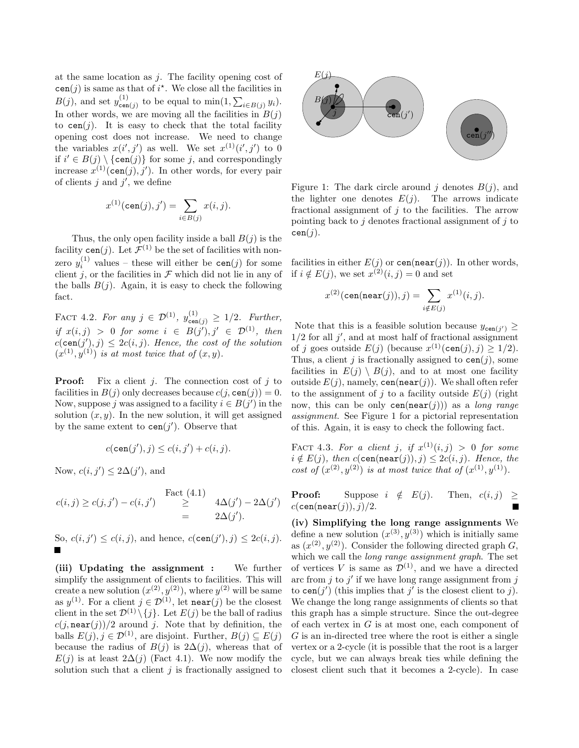at the same location as  $j$ . The facility opening cost of  $\text{cen}(j)$  is same as that of  $i^*$ . We close all the facilities in  $B(j)$ , and set  $y_{\text{cen}}^{(1)}$  $\lim_{\epsilon \to 0}$  to be equal to  $\min(1, \sum_{i \in B(j)} y_i)$ . In other words, we are moving all the facilities in  $B(j)$ to  $\text{cen}(j)$ . It is easy to check that the total facility opening cost does not increase. We need to change the variables  $x(i',j')$  as well. We set  $x^{(1)}(i',j')$  to 0 if  $i' \in B(j) \setminus \{\text{cen}(j)\}\)$  for some j, and correspondingly increase  $x^{(1)}(\text{cen}(j), j')$ . In other words, for every pair of clients  $j$  and  $j'$ , we define

$$
x^{(1)}(\text{cen}(j), j') = \sum_{i \in B(j)} x(i, j).
$$

Thus, the only open facility inside a ball  $B(j)$  is the facility cen(j). Let  $\mathcal{F}^{(1)}$  be the set of facilities with nonzero  $y_i^{(1)}$  $i_i^{(1)}$  values – these will either be  $\text{cen}(j)$  for some client j, or the facilities in  $\mathcal F$  which did not lie in any of the balls  $B(j)$ . Again, it is easy to check the following fact.

FACT 4.2. For any  $j \in \mathcal{D}^{(1)}$ ,  $y_{\text{cen}(j)}^{(1)} \geq 1/2$ . Further, if  $x(i, j) > 0$  for some  $i \in B(j'), j' \in \mathcal{D}^{(1)}$ , then  $c(\texttt{cen}(j'), j) \leq 2c(i, j)$ . Hence, the cost of the solution  $(x^{(1)}, y^{(1)})$  is at most twice that of  $(x, y)$ .

**Proof:** Fix a client *j*. The connection cost of *j* to facilities in  $B(j)$  only decreases because  $c(j, \text{cen}(j)) = 0$ . Now, suppose j was assigned to a facility  $i \in B(j')$  in the solution  $(x, y)$ . In the new solution, it will get assigned by the same extent to  $\text{cen}(j')$ . Observe that

$$
c(\mathtt{cen}(j'), j) \le c(i, j') + c(i, j).
$$

Now,  $c(i, j') \leq 2\Delta(j')$ , and

$$
c(i,j) \ge c(j,j') - c(i,j') \quad \text{Fact (4.1)}
$$
  
= 
$$
4\Delta(j') - 2\Delta(j')
$$
  
= 
$$
2\Delta(j').
$$

So,  $c(i, j') \leq c(i, j)$ , and hence,  $c(\text{cen}(j'), j) \leq 2c(i, j)$ .

(iii) Updating the assignment : We further simplify the assignment of clients to facilities. This will create a new solution  $(x^{(2)}, y^{(2)})$ , where  $y^{(2)}$  will be same as  $y^{(1)}$ . For a client  $j \in \mathcal{D}^{(1)}$ , let near(j) be the closest client in the set  $\mathcal{D}^{(1)} \setminus \{j\}$ . Let  $E(j)$  be the ball of radius  $c(j, \texttt{near}(j))/2$  around j. Note that by definition, the balls  $E(j), j \in \mathcal{D}^{(1)}$ , are disjoint. Further,  $B(j) \subseteq E(j)$ because the radius of  $B(j)$  is  $2\Delta(j)$ , whereas that of  $E(j)$  is at least  $2\Delta(j)$  (Fact 4.1). We now modify the solution such that a client  $j$  is fractionally assigned to



Figure 1: The dark circle around j denotes  $B(j)$ , and the lighter one denotes  $E(j)$ . The arrows indicate fractional assignment of  $j$  to the facilities. The arrow pointing back to j denotes fractional assignment of j to  $cen(j).$ 

facilities in either  $E(j)$  or  $\mathsf{cen}(\mathsf{near}(j))$ . In other words, if  $i \notin E(j)$ , we set  $x^{(2)}(i, j) = 0$  and set

$$
x^{(2)}(\texttt{cen}(\texttt{near}(j)),j) = \sum_{i \notin E(j)} x^{(1)}(i,j).
$$

Note that this is a feasible solution because  $y_{\text{cen}(j')} \ge$  $1/2$  for all  $j'$ , and at most half of fractional assignment of j goes outside  $E(j)$  (because  $x^{(1)}(\text{cen}(j), j) \ge 1/2$ ). Thus, a client j is fractionally assigned to  $\text{cen}(i)$ , some facilities in  $E(j) \setminus B(j)$ , and to at most one facility outside  $E(j)$ , namely, cen(near(j)). We shall often refer to the assignment of j to a facility outside  $E(j)$  (right now, this can be only  $\text{cen}(\text{near}(j))$  as a long range assignment. See Figure 1 for a pictorial representation of this. Again, it is easy to check the following fact.

FACT 4.3. For a client j, if  $x^{(1)}(i,j) > 0$  for some  $i \notin E(j)$ , then  $c(\texttt{cen}(\texttt{near}(j)), j) \leq 2c(i, j)$ . Hence, the cost of  $(x^{(2)}, y^{(2)})$  is at most twice that of  $(x^{(1)}, y^{(1)})$ .

**Proof:** Suppose  $i \notin E(j)$ . Then,  $c(i, j) \geq$  $c(\text{cen}(\text{near}(i)), i)/2.$ П

(iv) Simplifying the long range assignments We define a new solution  $(x^{(3)}, y^{(3)})$  which is initially same as  $(x^{(2)}, y^{(2)})$ . Consider the following directed graph G, which we call the *long range assignment graph*. The set of vertices V is same as  $\mathcal{D}^{(1)}$ , and we have a directed arc from  $j$  to  $j'$  if we have long range assignment from  $j$ to  $\text{cen}(j')$  (this implies that  $j'$  is the closest client to j). We change the long range assignments of clients so that this graph has a simple structure. Since the out-degree of each vertex in  $G$  is at most one, each component of G is an in-directed tree where the root is either a single vertex or a 2-cycle (it is possible that the root is a larger cycle, but we can always break ties while defining the closest client such that it becomes a 2-cycle). In case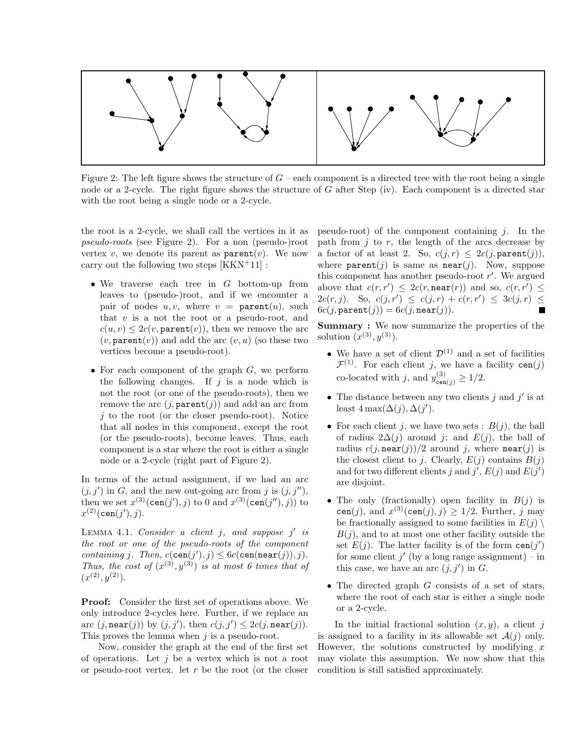

Figure 2: The left figure shows the structure of  $G$  – each component is a directed tree with the root being a single node or a 2-cycle. The right figure shows the structure of G after Step (iv). Each component is a directed star with the root being a single node or a 2-cycle.

the root is a 2-cycle, we shall call the vertices in it as pseudo-roots (see Figure 2). For a non (pseudo-)root vertex v, we denote its parent as  $\text{parent}(v)$ . We now carry out the following two steps [KKN<sup>+</sup>11] :

- We traverse each tree in G bottom-up from leaves to (pseudo-)root, and if we encounter a pair of nodes  $u, v$ , where  $v = \text{parent}(u)$ , such that  $v$  is a not the root or a pseudo-root, and  $c(u, v) \leq 2c(v, \texttt{parent}(v))$ , then we remove the arc  $(v, \texttt{parent}(v))$  and add the arc  $(v, u)$  (so these two vertices become a pseudo-root).
- For each component of the graph  $G$ , we perform the following changes. If  $j$  is a node which is not the root (or one of the pseudo-roots), then we remove the arc  $(j, \text{parent}(j))$  and add an arc from  $j$  to the root (or the closer pseudo-root). Notice that all nodes in this component, except the root (or the pseudo-roots), become leaves. Thus, each component is a star where the root is either a single node or a 2-cycle (right part of Figure 2).

In terms of the actual assignment, if we had an arc  $(j, j')$  in G, and the new out-going arc from j is  $(j, j'')$ , then we set  $x^{(3)}(\text{cen}(j'), j)$  to 0 and  $x^{(3)}(\text{cen}(j''), j)$  to  $x^{(2)}(\mathtt{cen}(j'), j).$ 

LEMMA 4.1. Consider a client  $j$ , and suppose  $j'$  is the root or one of the pseudo-roots of the component containing j. Then,  $c(\text{cen}(j'), j) \leq 6c(\text{cen}(near(j)), j)$ . Thus, the cost of  $(x^{(3)}, y^{(3)})$  is at most 6 times that of  $(x^{(2)}, y^{(2)})$ .

Proof: Consider the first set of operations above. We only introduce 2-cycles here. Further, if we replace an arc  $(j, \texttt{near}(j))$  by  $(j, j')$ , then  $c(j, j') \leq 2c(j, \texttt{near}(j)).$ This proves the lemma when  $j$  is a pseudo-root.

Now, consider the graph at the end of the first set of operations. Let  $j$  be a vertex which is not a root or pseudo-root vertex. let  $r$  be the root (or the closer pseudo-root) of the component containing  $i$ . In the path from  $i$  to  $r$ , the length of the arcs decrease by a factor of at least 2. So,  $c(j, r) \leq 2c(j, \texttt{parent}(j)),$ where  $\texttt{parent}(j)$  is same as  $\texttt{near}(j)$ . Now, suppose this component has another pseudo-root  $r'$ . We argued above that  $c(r, r') \leq 2c(r, \texttt{near}(r))$  and so,  $c(r, r') \leq$  $2c(r, j)$ . So,  $c(j, r') \leq c(j, r) + c(r, r') \leq 3c(j, r) \leq$  $6c(j, \texttt{parent}(j)) = 6c(j, \texttt{near}(j)).$ 

Summary : We now summarize the properties of the solution  $(x^{(3)}, y^{(3)})$ .

- We have a set of client  $\mathcal{D}^{(1)}$  and a set of facilities  $\mathcal{F}^{(1)}$ . For each client j, we have a facility cen(j) co-located with j, and  $y_{\text{cen}(j)}^{(3)} \ge 1/2$ .
- The distance between any two clients  $j$  and  $j'$  is at least  $4 \max(\Delta(j), \Delta(j').$
- For each client j, we have two sets :  $B(j)$ , the ball of radius  $2\Delta(j)$  around j; and  $E(j)$ , the ball of radius  $c(j, \texttt{near}(j))/2$  around j, where  $\texttt{near}(j)$  is the closest client to j. Clearly,  $E(j)$  contains  $B(j)$ and for two different clients j and  $j', E(j)$  and  $E(j')$ are disjoint.
- The only (fractionally) open facility in  $B(i)$  is cen(j), and  $x^{(3)}(\text{cen}(j), j) \ge 1/2$ . Further, j may be fractionally assigned to some facilities in  $E(j) \setminus$  $B(i)$ , and to at most one other facility outside the set  $E(j)$ . The latter facility is of the form  $cen(j')$ for some client  $j'$  (by a long range assignment) – in this case, we have an arc  $(j, j')$  in  $G$ .
- The directed graph  $G$  consists of a set of stars, where the root of each star is either a single node or a 2-cycle.

In the initial fractional solution  $(x, y)$ , a client j is assigned to a facility in its allowable set  $\mathcal{A}(i)$  only. However, the solutions constructed by modifying  $x$ may violate this assumption. We now show that this condition is still satisfied approximately.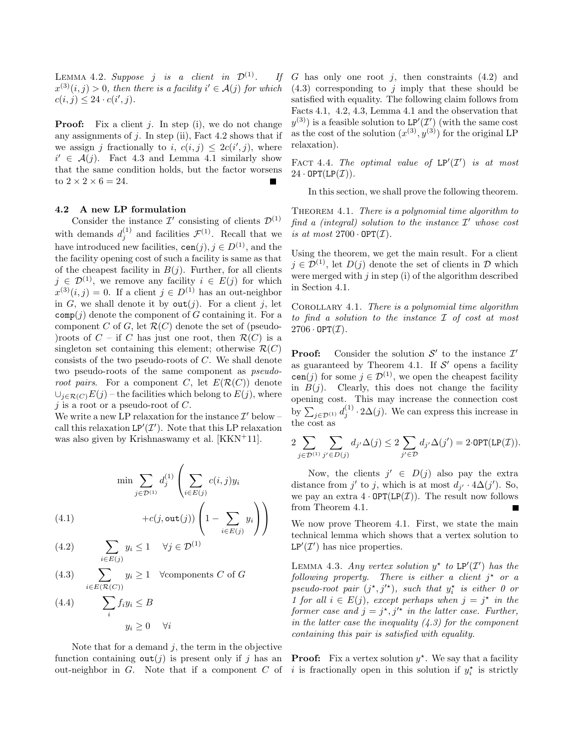LEMMA 4.2. Suppose *j* is a client in  $\mathcal{D}^{(1)}$ . If  $x^{(3)}(i,j) > 0$ , then there is a facility  $i' \in \mathcal{A}(j)$  for which  $c(i, j) \leq 24 \cdot c(i', j).$ 

**Proof:** Fix a client  $j$ . In step (i), we do not change any assignments of  $j$ . In step (ii), Fact 4.2 shows that if we assign j fractionally to i,  $c(i, j) \leq 2c(i', j)$ , where  $i' \in \mathcal{A}(j)$ . Fact 4.3 and Lemma 4.1 similarly show that the same condition holds, but the factor worsens to  $2 \times 2 \times 6 = 24$ .

# 4.2 A new LP formulation

Consider the instance  $\mathcal{I}'$  consisting of clients  $\mathcal{D}^{(1)}$ with demands  $d_i^{(1)}$  $j_j^{(1)}$  and facilities  $\mathcal{F}^{(1)}$ . Recall that we have introduced new facilities,  $\text{cen}(j)$ ,  $j \in D^{(1)}$ , and the the facility opening cost of such a facility is same as that of the cheapest facility in  $B(j)$ . Further, for all clients  $j \in \mathcal{D}^{(1)}$ , we remove any facility  $i \in E(j)$  for which  $x^{(3)}(i,j) = 0$ . If a client  $j \in D^{(1)}$  has an out-neighbor in G, we shall denote it by  $\text{out}(i)$ . For a client j, let  $comp(j)$  denote the component of G containing it. For a component C of G, let  $\mathcal{R}(C)$  denote the set of (pseudo-)roots of  $C$  – if C has just one root, then  $\mathcal{R}(C)$  is a singleton set containing this element; otherwise  $\mathcal{R}(C)$ consists of the two pseudo-roots of C. We shall denote two pseudo-roots of the same component as pseudoroot pairs. For a component C, let  $E(\mathcal{R}(C))$  denote  $\cup_{j\in\mathcal{R}(C)}E(j)$  – the facilities which belong to  $E(j)$ , where  $j$  is a root or a pseudo-root of  $C$ .

We write a new LP relaxation for the instance  $\mathcal{I}'$  below – call this relaxation  $LP'(\mathcal{I}')$ . Note that this LP relaxation was also given by Krishnaswamy et al. [KKN<sup>+</sup>11].

$$
\min \sum_{j \in \mathcal{D}^{(1)}} d_j^{(1)} \left( \sum_{i \in E(j)} c(i,j) y_i + c(j, \text{out}(j)) \left( 1 - \sum y_i \right) \right)
$$

 $\setminus$ 

(4.1) 
$$
+c(j,\text{out}(j))\left(1-\sum_{i\in E(j)}y_i\right)
$$

(4.2) 
$$
\sum_{i \in E(j)} y_i \le 1 \quad \forall j \in \mathcal{D}^{(1)}
$$

 $\sum$  $i \in E(\mathcal{R}(C))$ (4.3)  $\qquad \sum y_i \geq 1$   $\forall$ components C of G

(4.4) 
$$
\sum_{i} f_i y_i \leq B
$$

$$
y_i > 0 \quad \forall i
$$

Note that for a demand  $j$ , the term in the objective function containing  $\text{out}(j)$  is present only if j has an out-neighbor in  $G$ . Note that if a component  $C$  of

G has only one root j, then constraints  $(4.2)$  and  $(4.3)$  corresponding to j imply that these should be satisfied with equality. The following claim follows from Facts 4.1, 4.2, 4.3, Lemma 4.1 and the observation that  $y^{(3)}$ ) is a feasible solution to LP'(T') (with the same cost as the cost of the solution  $(x^{(3)}, y^{(3)})$  for the original LP relaxation).

FACT 4.4. The optimal value of  $LP'(I')$  is at most  $24 \cdot \text{OPT}(\text{LP}(\mathcal{I})).$ 

In this section, we shall prove the following theorem.

THEOREM 4.1. There is a polynomial time algorithm to find a (integral) solution to the instance  $\mathcal{I}'$  whose cost is at most  $2700 \cdot \text{OPT}(\mathcal{I})$ .

Using the theorem, we get the main result. For a client  $j \in \mathcal{D}^{(1)}$ , let  $D(j)$  denote the set of clients in  $\mathcal{D}$  which were merged with  $j$  in step (i) of the algorithm described in Section 4.1.

COROLLARY 4.1. There is a polynomial time algorithm to find a solution to the instance I of cost at most  $2706 \cdot \text{OPT}(\mathcal{I}).$ 

**Proof:** Consider the solution  $\mathcal{S}'$  to the instance  $\mathcal{I}'$ as guaranteed by Theorem 4.1. If  $S'$  opens a facility cen(j) for some  $j \in \mathcal{D}^{(1)}$ , we open the cheapest facility in  $B(j)$ . Clearly, this does not change the facility opening cost. This may increase the connection cost by  $\sum_{j \in \mathcal{D}^{(1)}} d_j^{(1)} \cdot 2\Delta(j)$ . We can express this increase in the cost as

$$
2\sum_{j\in \mathcal{D}^{(1)}}\sum_{j'\in D(j)}d_{j'}\Delta(j)\leq 2\sum_{j'\in \mathcal{D}}d_{j'}\Delta(j')=2\cdot\text{OPT}(\text{LP}(\mathcal{I})).
$$

Now, the clients  $j' \in D(j)$  also pay the extra distance from  $j'$  to j, which is at most  $d_{j'} \cdot 4\Delta(j')$ . So, we pay an extra  $4 \cdot \text{OPT}(\text{LP}(\mathcal{I}))$ . The result now follows from Theorem 4.1.

We now prove Theorem 4.1. First, we state the main technical lemma which shows that a vertex solution to  $LP'(\mathcal{I}')$  has nice properties.

LEMMA 4.3. Any vertex solution  $y^*$  to  $LP'(\mathcal{I}')$  has the  $following$  property. There is either a client  $j^*$  or a pseudo-root pair  $(j^*, j'^*)$ , such that  $y_i^*$  is either 0 or 1 for all  $i \in E(j)$ , except perhaps when  $j = j^*$  in the former case and  $j = j^*, j'^*$  in the latter case. Further, in the latter case the inequality  $(4.3)$  for the component containing this pair is satisfied with equality.

**Proof:** Fix a vertex solution  $y^*$ . We say that a facility i is fractionally open in this solution if  $y_i^*$  is strictly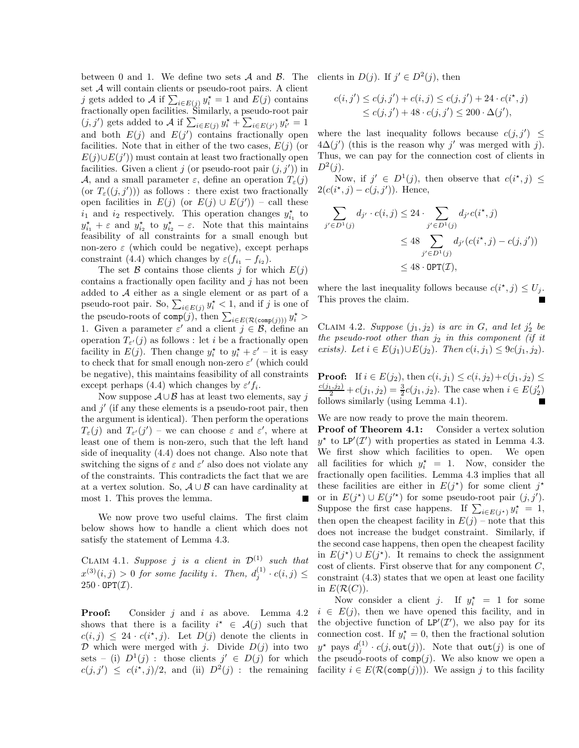between 0 and 1. We define two sets  $A$  and  $B$ . The set  $A$  will contain clients or pseudo-root pairs. A client j gets added to A if  $\sum_{i \in E(j)} y_i^* = 1$  and  $E(j)$  contains fractionally open facilities. Similarly, a pseudo-root pair  $(j, j')$  gets added to A if  $\sum_{i \in E(j)} y_i^* + \sum_{i \in E(j')} y_{i'}^* = 1$ and both  $E(j)$  and  $E(j')$  contains fractionally open facilities. Note that in either of the two cases,  $E(j)$  (or  $E(j) \cup E(j')$  must contain at least two fractionally open facilities. Given a client j (or pseudo-root pair  $(j, j')$ ) in A, and a small parameter  $\varepsilon$ , define an operation  $T_{\varepsilon}(i)$ (or  $T_{\varepsilon}((j, j'))$ ) as follows : there exist two fractionally open facilities in  $E(j)$  (or  $E(j) \cup E(j')$ ) – call these  $i_1$  and  $i_2$  respectively. This operation changes  $y_{i_1}^*$  to  $y_{i_1}^{\star} + \varepsilon$  and  $y_{i_2}^{\star}$  to  $y_{i_2}^{\star} - \varepsilon$ . Note that this maintains feasibility of all constraints for a small enough but non-zero  $\varepsilon$  (which could be negative), except perhaps constraint (4.4) which changes by  $\varepsilon(f_{i_1} - f_{i_2})$ .

The set  $\beta$  contains those clients j for which  $E(j)$ contains a fractionally open facility and j has not been added to A either as a single element or as part of a pseudo-root pair. So,  $\sum_{i \in E(j)} y_i^* < 1$ , and if j is one of the pseudo-roots of  $\text{comp}(j)$ , then  $\sum_{i \in E(\mathcal{R}(\text{comp}(j)))} y_i^*$ 1. Given a parameter  $\varepsilon'$  and a client  $j \in \mathcal{B}$ , define an operation  $T_{\varepsilon}(j)$  as follows : let *i* be a fractionally open facility in  $E(j)$ . Then change  $y_i^*$  to  $y_i^* + \varepsilon'$  – it is easy to check that for small enough non-zero  $\varepsilon'$  (which could be negative), this maintains feasibility of all constraints except perhaps (4.4) which changes by  $\varepsilon' f_i$ .

Now suppose  $\mathcal{A} \cup \mathcal{B}$  has at least two elements, say j and  $j'$  (if any these elements is a pseudo-root pair, then the argument is identical). Then perform the operations  $T_{\varepsilon}(j)$  and  $T_{\varepsilon'}(j')$  – we can choose  $\varepsilon$  and  $\varepsilon'$ , where at least one of them is non-zero, such that the left hand side of inequality (4.4) does not change. Also note that switching the signs of  $\varepsilon$  and  $\varepsilon'$  also does not violate any of the constraints. This contradicts the fact that we are at a vertex solution. So,  $A \cup B$  can have cardinality at most 1. This proves the lemma.

We now prove two useful claims. The first claim below shows how to handle a client which does not satisfy the statement of Lemma 4.3.

CLAIM 4.1. Suppose j is a client in  $\mathcal{D}^{(1)}$  such that  $x^{(3)}(i,j) > 0$  for some facility i. Then,  $d_i^{(1)}$  $j^{(1)} \cdot c(i,j) \leq$  $250 \cdot \text{OPT}(\mathcal{I}).$ 

**Proof:** Consider  $j$  and  $i$  as above. Lemma 4.2 shows that there is a facility  $i^* \in \mathcal{A}(j)$  such that  $c(i, j) \leq 24 \cdot c(i^*, j)$ . Let  $D(j)$  denote the clients in  $D$  which were merged with j. Divide  $D(j)$  into two sets – (i)  $D^1(j)$ : those clients  $j' \in D(j)$  for which  $c(j, j') \leq c(i^*, j)/2$ , and (ii)  $D^2(j)$ : the remaining

clients in  $D(j)$ . If  $j' \in D^2(j)$ , then

$$
c(i, j') \le c(j, j') + c(i, j) \le c(j, j') + 24 \cdot c(i^*, j)
$$
  
 
$$
\le c(j, j') + 48 \cdot c(j, j') \le 200 \cdot \Delta(j'),
$$

where the last inequality follows because  $c(j, j') \leq$  $4\Delta(j')$  (this is the reason why j' was merged with j). Thus, we can pay for the connection cost of clients in  $D^2(j)$ .

Now, if  $j' \in D^1(j)$ , then observe that  $c(i^*, j) \leq$  $2(c(i^*, j) - c(j, j'))$ . Hence,

$$
\sum_{j' \in D^1(j)} d_{j'} \cdot c(i,j) \le 24 \cdot \sum_{j' \in D^1(j)} d_{j'} c(i^*,j)
$$
  
\n
$$
\le 48 \sum_{j' \in D^1(j)} d_{j'} (c(i^*,j) - c(j,j'))
$$
  
\n
$$
\le 48 \cdot \text{OPT}(\mathcal{I}),
$$

where the last inequality follows because  $c(i^*, j) \leq U_j$ . This proves the claim.

CLAIM 4.2. Suppose  $(j_1, j_2)$  is arc in G, and let  $j'_2$  be the pseudo-root other than  $j_2$  in this component (if it exists). Let  $i \in E(j_1) \cup E(j_2)$ . Then  $c(i, j_1) \leq 9c(j_1, j_2)$ .

**Proof:** If  $i \in E(j_2)$ , then  $c(i, j_1) \leq c(i, j_2) + c(j_1, j_2) \leq$  $\frac{c(j_1, j_2)}{2} + c(j_1, j_2) = \frac{3}{2}c(j_1, j_2)$ . The case when  $i \in E(j'_2)$ follows similarly (using Lemma 4.1).

We are now ready to prove the main theorem.

Proof of Theorem 4.1: Consider a vertex solution  $y^*$  to LP'(T') with properties as stated in Lemma 4.3. We first show which facilities to open. We open all facilities for which  $y_i^* = 1$ . Now, consider the fractionally open facilities. Lemma 4.3 implies that all these facilities are either in  $E(j^*)$  for some client  $j^*$ or in  $E(j^*) \cup E(j'^*)$  for some pseudo-root pair  $(j, j')$ . Suppose the first case happens. If  $\sum_{i \in E(j^*)} y_i^* = 1$ , then open the cheapest facility in  $E(j)$  – note that this does not increase the budget constraint. Similarly, if the second case happens, then open the cheapest facility in  $E(j^*) \cup E(j^*)$ . It remains to check the assignment cost of clients. First observe that for any component  $C$ , constraint (4.3) states that we open at least one facility in  $E(\mathcal{R}(C))$ .

Now consider a client j. If  $y_i^* = 1$  for some  $i \in E(j)$ , then we have opened this facility, and in the objective function of  $LP'(\mathcal{I}')$ , we also pay for its connection cost. If  $y_i^* = 0$ , then the fractional solution  $y^{\star}$  pays  $d_j^{(1)} \cdot c(j, \text{out}(j))$ . Note that  $\text{out}(j)$  is one of the pseudo-roots of  $comp(j)$ . We also know we open a facility  $i \in E(\mathcal{R}(comp(j)))$ . We assign j to this facility